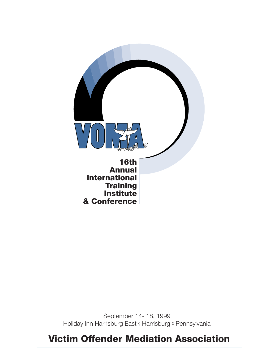

September 14- 18, 1999 Holiday Inn Harrisburg East ◊ Harrisburg ◊ Pennsylvania

## **Victim Offender Mediation Association**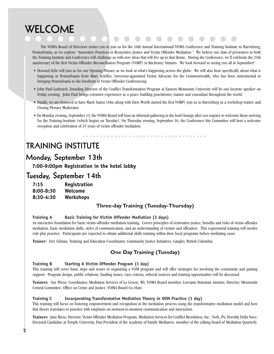## **WELCOME**

The VOMA Board of Directors invites you to join us for the 16th Annual International VOMA Conference and Training Institute in Harrisburg, Pennsylvania, as we explore "Innovative Practices in Restorative Justice and Victim Offender Mediation." We believe our slate of presenters in both the Training Institute and Conference will challenge us with new ideas that will live up to that theme. During the Conference, we'll celebrate the 25th anniversary of the first Victim Offender Reconciliation Program (VORP) in Kitchener, Ontario. We look forward to seeing you all in September!

- Howard Zehr will join us for our Opening Plenary as we look at what's happening across the globe. We will also hear specifically about what is happening in Pennsylvania from Mary Achilles, Governor-appointed Victim Advocate for the Commonwealth, who has been instrumental in bringing Pennsylvania to the forefront of Victim Offender Conferencing.
- John Paul Lederach, founding Director of the Conflict Transformation Program at Eastern Mennonite University will be our keynote speaker on Friday evening. John Paul brings extensive experience as a peace building practitioner, trainer and consultant throughout the world.
- Finally, we are honored to have Mark Yantzi (who along with Dave Worth started the first VORP) join us in Harrisburg as a workshop trainer and Closing Plenary Moderator.
- On Monday evening, September 13, the VOMA Board will host an informal gathering in the hotel lounge after you register to welcome those arriving for the Training Institute (which begins on Tuesday). On Thursday evening, September 16, the Conference Site Committee will host a welcome reception and celebration of 25 years of victim offender mediation.

## **TRAINING INSTITUTE**

### **Monday, September 13th**

**7:00-9:00pm Registration in the hotel lobby**

### **Tuesday, September 14th**

| 7:15          | Registration |
|---------------|--------------|
| $8:00 - 8:30$ | Welcome      |
| $8:30-4:30$   | Workshops    |

#### **Three-day Training (Tuesday-Thursday)**

#### **Training A Basic Training for Victim Offender Mediation (3 days)**

An interactive foundation for basic victim-offender mediation training. Covers principles of restorative justice, benefits and risks of victim offender mediation, basic mediation skills, styles of communication, and an understanding of victims and offenders. This experiential training will involve role play practice. Participants are expected to obtain additional skills training within their local programs before mediating cases.

**Trainer:** Eric Gilman, Training and Education Coordinator, Community Justice Initiatives, Langley, British Columbia.

#### **One Day Training (Tuesday)**

#### **Training B Starting A Victim Offender Program (1 day)**

This training will cover basic steps and issues in organizing a VOM program and will offer strategies for involving the community and gaining support. Program design, public relations, funding issues, case criteria, referral sources and training opportunities will be discussed.

**Trainers:** Sue Wiese, Coordinator, Mediation Services of La Crosse, WI, VOMA Board member; Lorraine Stutzman Amstutz, Director, Mennonite Central Committee, Office on Crime and Justice, VOMA Board Co-chair.

#### **Training C Incorporating Transformative Mediation Theory in VOM Practice (1 day)**

This training will focus on fostering empowerment and recognition in the mediation process using the transformative mediation model and how that theory translates to practice with emphasis on moment-to-moment communication and interaction.

**Trainers:** Jane Riese, Director, Victim Offender Mediation Program, Mediation Services for Conflict Resolution, Inc., York, PA; Dorothy Della Noce, Doctoral Candidate at Temple University, Past President of the Academy of Family Mediators, member of the editing board of Mediation Quarterly.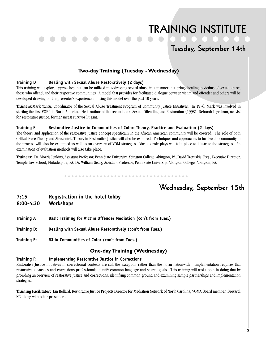## **TRAINING INSTITUTE**

### **Tuesday, September 14th**

#### **Two-day Training (Tuesday - Wednesday)**

#### **Training D Dealing with Sexual Abuse Restoratively (2 days)**

This training will explore approaches that can be utilized in addressing sexual abuse in a manner that brings healing to victims of sexual abuse, those who offend, and their respective communities. A model that provides for facilitated dialogue between victim and offender and others will be developed drawing on the presenter's experience in using this model over the past 10 years.

**Trainers:**Mark Yantzi, Coordinator of the Sexual Abuse Treatment Program of Community Justice Initiatives. In 1976, Mark was involved in starting the first VORP in North America. He is author of the recent book, Sexual Offending and Restoration (1998); Deborah Ingraham, activist for restorative justice, former incest survivor litigant.

#### **Training E Restorative Justice in Communities of Color: Theory, Practice and Evaluation (2 days)**

The theory and application of the restorative justice concept specifically in the African American community will be covered. The role of both Critical Race Theory and Afrocentric Theory in Restorative Justice will also be explored. Techniques and approaches to involve the community in the process will also be examined as well as an overview of VOM strategies. Various role plays will take place to illustrate the strategies. An examination of evaluation methods will also take place.

**Trainers:** Dr. Morris Jenkins, Assistant Professor, Penn State University, Abington College, Abington, PA; David Trevaskis, Esq., Executive Director, Temple Law School, Philadelphia, PA: Dr. William Geary, Assistant Professor, Penn State University, Abington College, Abington, PA.

### **Wednesday, September 15th**

- **7:15 Registration in the hotel lobby 8:00-4:30 Workshops**
- **Training A Basic Training for Victim Offender Mediation (con't from Tues.)**
- **Training D: Dealing with Sexual Abuse Restoratively (con't from Tues.)**
- **Training E: RJ in Communities of Color (con't from Tues.)**

#### **One-day Training (Wednesday)**

#### **Training F: Implementing Restorative Justice in Corrections**

Restorative Justice initiatives in correctional contexts are still the exception rather than the norm nationwide. Implementation requires that restorative advocates and corrections professionals identify common language and shared goals. This training will assist both in doing that by providing an overview of restorative justice and corrections, identifying common ground and examining sample partnerships and implementation strategies.

**Training Facilitator:** Jan Bellard, Restorative Justice Projects Director for Mediation Network of North Carolina, VOMA Board member, Brevard, NC, along with other presenters.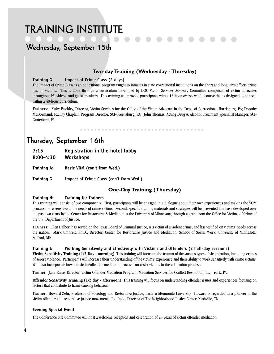## **TRAINING INSTITUTE**

## **Wednesday, September 15th**

#### **Two-day Training (Wednesday - Thursday)**

#### **Training G Impact of Crime Class (2 days)**

The Impact of Crime Class is an educational program taught to inmates in state correctional institutions on the short and long term effects crime has on victims. This is done through a curriculum developed by DOC Victim Services Advisory Committee comprised of victim advocates throughout PA, videos, and guest speakers. This training will provide participants with a 16-hour overview of a course that is designed to be used within a 40-hour curriculum.

**Trainers:** Kathy Buckley, Director, Victim Services for the Office of the Victim Advocate in the Dept. of Corrections, Harrisburg, PA; Dorothy McDormand, Facility Chaplain Program Director, SCI-Greensburg, PA; John Thomas, Acting Drug & Alcohol Treatment Specialist Manager, SCI-Graterford, PA.

### **Thursday, September 16th**

**7:15 Registration in the hotel lobby**

**8:00-4:30 Workshops**

**Training A: Basic VOM (con't from Wed.)**

**Training G Impact of Crime Class (con't from Wed.)**

#### **One-Day Training (Thursday)**

#### **Training H: Training for Trainers**

This training will consist of two components. First, participants will be engaged in a dialogue about their own experiences and making the VOM process more sensitive to the needs of crime victims. Second, specific training materials and strategies will be presented that have developed over the past two years by the Center for Restorative & Mediation at the University of Minnesota, through a grant from the Office for Victims of Crime of the U.S. Department of Justice.

**Trainers:** Ellen Halbert has served on the Texas Board of Criminal Justice, is a victim of a violent crime, and has testified on victims' needs across the nation; Mark Umbreit, Ph.D., Director, Center for Restorative Justice and Mediation, School of Social Work, University of Minnesota, St. Paul, MN.

#### **Training I: Working Sensitively and Effectively with Victims and Offenders (2 half-day sessions)**

**Victim Sensitivity Training (1/2 Day - morning)** This training will focus on the trauma of the various types of victimization, including crimes of severe violence. Participants will increase their understanding of the victim's experience and their ability to work sensitively with crime victims. Will also incorporate how the victim/offender mediation process can assist victims in the adaptation process.

**Trainer:** Jane Riese, Director, Victim Offender Mediation Program, Mediation Services for Conflict Resolution, Inc., York, PA.

**Offender Sensitivity Training (1/2 day - afternoon)** This training will focus on understanding offender issues and experiences focusing on factors that contribute to harm-causing behavior.

**Trainer:** Howard Zehr, Professor of Sociology and Restorative Justice, Eastern Mennonite University. Howard is regarded as a pioneer in the victim offender and restorative justice movements; Joe Ingle, Director of The Neighborhood Justice Center, Nashville, TN.

#### **Evening Special Event**

The Conference Site Committee will host a welcome reception and celebration of 25 years of victim offender mediation.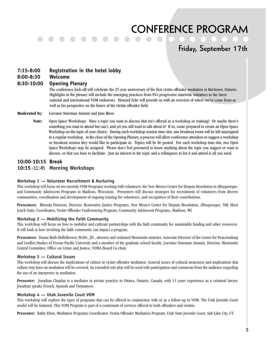### **Friday, September 17th**

#### **7:15-8:00 Registration in the hotel lobby**

**8:00-8:30 Welcome**

#### **8:30-10:00 Opening Plenary**

The conference kick-off will celebrate the 25 year anniversary of the first victim offender mediation in Kitchener, Ontario. Highlights in the plenary will include the emerging practices from PA's progressive statewide initiatives to the latest national and international VOM endeavors. Howard Zehr will provide us with an overview of where we've come from as well as his perspective on the future of the vIctim offender field.

- **Moderated by:** Lorraine Stutzman Amstutz and Jane Riese
	- **Note:** Open Space Workshops: Have a topic you want to discuss that isn't offered as a workshop or training? Or maybe there's something you want to attend but can't, and yet you still want to talk about it? If so, come prepared to create an Open Space Workshop on the topic of your choice. During each workshop session time-slot, one breakout room will be left unassigned to a regular workshop. At the close of the Opening Plenary, a process will allow conference attendees to suggest a workshop or breakout session they would like to participate in. Topics will be be posted. For each workshop time-slot, two Open Space Workshops may be assigned. Please don't feel pressured to know anything about the topic you suggest or want to discuss, or that you have to facilitate. Just an interest in the topic and a willingness to list it and attend is all you need.

#### **10:00-10:15 Break 10:15**-11:45 **Morning Workshops**

#### **Workshop 1 — Volunteer Recruitment & Nurturing**

This workshop will focus on two juvenile VOM Programs working with volunteers: the New Mexico Center for Dispute Resolution in Albuquerque, and Community Adolescent Programs in Madison, Wisconsin. Presenters will discuss strategies for recruitment of volunteers from diverse communities, coordination and development of ongoing training for volunteers, and recognition of their contributions.

**Presenters:** Rhonda Peterson, Director, Restorative Justice Programs, New Mexico Center for Dispute Resolution, Albuquerque, NM; Sheri Lynch Gatts, Coordinator, Victim Offender Conferencing Program, Community Adolescent Programs, Madison, WI.

#### **Workshop 2 — Mobilizing the Faith Community**

This workshop will focus on how to mobilize and cultivate partnerships with the faith community for sustainable funding and other resources. It will look at how involving the faith community can impact a program.

**Presenters:** Duane Ruth-Heffelbower, M.Div., JD., attorney and ordained Mennonite minister, Associate Director of the Center for Peacemaking and Conflict Studies of Fresno Pacific University and a member of the graduate school faculty; Lorraine Stutzman Amstutz, Director, Mennonite Central Committee, Office on Crime and Justice, VOMA Board Co-chair.

#### **Workshop 3 — Cultural Issues**

This workshop will discuss the implications of culture in victim-offender mediation. General issues of cultural awareness and implications that culture may have on mediation will be covered. An extended role-play will be used with participation and comments from the audience regarding the use of an interpreter in mediation.

**Presenter:** Jonathan Chaplan is a mediator in private practice in Ottawa, Ontario, Canada, with 13 years experience as a criminal lawyer. Jonathan speaks French, Spanish and Vietnamese.

#### **Workshop 4 — Utah Juvenile Court VOM**

This workshop will explore the types of programs that can be offered in conjunction with or as a follow-up to VOM. The Utah Juvenile Court model will be featured. This VOM Program is part of a continuum of services offered to both offenders and victims.

**Presenter:** Kathy Elton, Mediation Programs Coordinator, Victim-Offender Mediation Program, Utah State Juvenile Court, Salt Lake City, UT.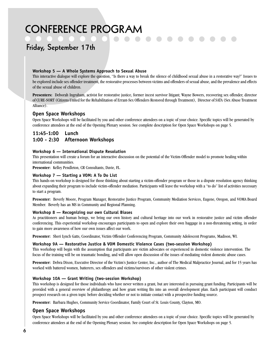## **Friday, September 17th**

#### **Workshop 5 — A Whole Systems Approach to Sexual Abuse**

This interactive dialogue will explore the question, "Is there a way to break the silence of childhood sexual abuse in a restorative way?" Issues to be explored include sex offender treatment, the restorative processes between victims and offenders of sexual abuse, and the prevalence and effects of the sexual abuse of children.

Presenters: Deborah Ingraham, activist for restorative justice, former incest survivor litigant; Wayne Bowers, recovering sex offender, director of CURE-SORT (Citizens United for the Rehabilitation of Errant-Sex Offenders Restored through Treatment), Director of SATA (Sex Abuse Treatment Alliance).

#### **Open Space Workshops**

Open Space Workshops will be facilitated by you and other conference attendees on a topic of your choice. Specific topics will be generated by conference attendees at the end of the Opening Plenary session. See complete description for Open Space Workshops on page 5.

#### **11:45-1:00 Lunch 1:00 - 2:30 Afternoon Workshops**

#### **Workshop 6 — International Dispute Resolution**

This presentation will create a forum for an interactive discussion on the potential of the Victim-Offender model to promote healing within international communities.

**Presenter:** Kelley Pendleton, CR Consultants, Davie, FL.

#### **Workshop 7 — Starting a VOM: A To Do List**

This hands-on workshop is designed for those thinking about starting a victim-offender program or those in a dispute resolution agency thinking about expanding their program to include victim-offender mediation. Participants will leave the workshop with a "to do" list of activities necessary to start a program.

**Presenter:** Beverly Moore, Program Manager, Restorative Justice Program, Community Mediation Services, Eugene, Oregon, and VOMA Board Member. Beverly has an MS in Community and Regional Planning.

#### **Workshop 8 — Recognizing our own Cultural Biases**

As practitioners and human beings, we bring our own history and cultural heritage into our work in restorative justice and victim offender conferencing. This experiential workshop encourages participants to open and explore their own baggage in a non-threatening setting, in order to gain more awareness of how our own issues affect our work.

**Presenter:** Sheri Lynch Gatts, Coordinator, Victim Offender Conferencing Program, Community Adolescent Programs, Madison, WI.

#### **Workshop 9A — Restorative Justice & VOM Domestic Violence Cases (two-session Workshop)**

This workshop will begin with the assumption that participants are victim advocates or experienced in domestic violence intervention. The focus of the training will be on traumatic bonding, and will allow open discussion of the issues of mediating violent domestic abuse cases.

Presenter: Debra Dixon, Executive Director of the Victim's Justice Center, Inc., author of The Medical Malpractice Journal, and for 15 years has worked with battered women, batterers, sex offenders and victims/survivors of other violent crimes.

#### **Workshop 10A — Grant Writing (two-session Workshop)**

This workshop is designed for those individuals who have never written a grant, but are interested in pursuing grant funding. Participants will be provided with a general overview of philanthropy and how grant writing fits into an overall development plan. Each participant will conduct prospect research on a given topic before deciding whether or not to initiate contact with a prospective funding source.

**Presenter:** Barbara Hughes, Community Service Coordinator, Family Court of St. Louis County, Clayton, MO.

#### **Open Space Workshops**

Open Space Workshops will be facilitated by you and other conference attendees on a topic of your choice. Specific topics will be generated by conference attendees at the end of the Opening Plenary session. See complete description for Open Space Workshops on page 5.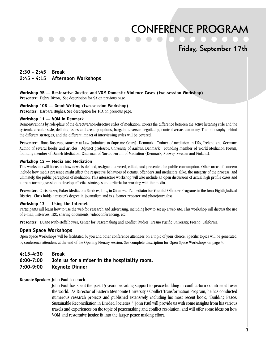### **Friday, September 17th**

#### **2:30 - 2:45 Break 2:45 - 4:15 Afternoon Workshops**

#### **Workshop 9B — Restorative Justice and VOM Domestic Violence Cases (two-session Workshop)**

**Presenter:** Debra Dixon, See description for 9A on previous page.

#### **Workshop 10B — Grant Writing (two-session Workshop)**

**Presenter:** Barbara Hughes, See description for 10A on previous page.

#### **Workshop 11 — VOM in Denmark**

Demonstrations by role-plays of the directive/non-directive styles of mediation. Covers the difference between the active listening style and the systemic circular style, defining issues and creating options, bargaining versus negotiating, control versus autonomy. The philosophy behind the different strategies, and the different impact of interviewing styles will be covered.

**Presenter:** Hans Boserup, Attorney at Law (admitted to Supreme Court), Denmark. Trainer of mediation in USA, Ireland and Germany. Author of several books and articles. Adjunct professor, University of Aarhus, Denmark. Founding member of World Mediation Forum, founding member of Danish Mediation, Chairman of Nordic Forum of Mediation (Denmark, Norway, Sweden and Finland).

#### **Workshop 12 — Media and Mediation**

This workshop will focus on how news is defined, assigned, covered, edited, and presented for public consumption. Other areas of concern include how media presence might affect the respective behaviors of victims, offenders and mediators alike, the integrity of the process, and ultimately, the public perception of mediation. This interactive workshop will also include an open discussion of actual high profile cases and a brainstorming session to develop effective strategies and criteria for working with the media.

**Presenter:** Chris Baker, Baker Mediations Services, Inc., in Ottumwa, IA, mediator for Youthful Offender Programs in the Iowa Eighth Judicial District. Chris holds a master's degree in journalism and is a former reporter and photojournalist.

#### **Workshop 13 — Using the Internet**

Participants will learn how to use the web for research and advertising, including how to set up a web site. This workshop will discuss the use of e-mail, listserves, IRC, sharing documents, videoconferencing, etc.

**Presenter:** Duane Ruth-Heffelbower, Center for Peacemaking and Conflict Studies, Fresno Pacific University, Fresno, California.

#### **Open Space Workshops**

Open Space Workshops will be facilitated by you and other conference attendees on a topic of your choice. Specific topics will be generated by conference attendees at the end of the Opening Plenary session. See complete description for Open Space Workshops on page 5.

#### **4:15-4:30 Break 6:00-7:00 Join us for a mixer in the hospitality room. 7:00-9:00 Keynote Dinner**

#### **Keynote Speaker:** John Paul Lederach

John Paul has spent the past 15 years providing support to peace-building in conflict-torn countries all over the world. As Director of Eastern Mennonite University's Conflict Transformation Program, he has conducted numerous research projects and published extensively, including his most recent book, "Building Peace: Sustainable Reconciliation in Divided Societies." John Paul will provide us with some insights from his various travels and experiences on the topic of peacemaking and conflict resolution, and will offer some ideas on how VOM and restorative justice fit into the larger peace making effort.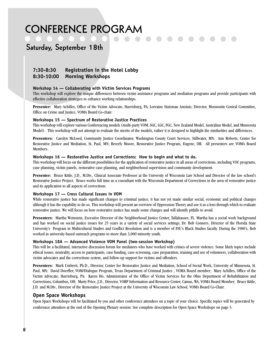### **Saturday, September 18th**

#### **7:30-8:30 Registration in the Hotel Lobby 8:30-10:00 Morning Workshops**

#### **Workshop 14 — Collaborating with Victim Services Programs**

This workshop will explore the unique differences between victim assistance programs and mediation programs and provide participants with effective collaboration strategies to enhance working relationships.

**Presenter:** Mary Achilles, Office of the Victim Advocate, Harrisburg, PA; Lorraine Stutzman Amstutz, Director, Mennonite Central Committee, Office on Crime and Justice, VOMA Board Co-chair.

#### **Workshops 15 — Spectrum of Restorative Justice Practices**

This workshop will explore various Conferencing models (multi-party VOM, SGC, LGC, FGC, New Zealand Model, Australian Model, and Minnesota Model). This workshop will not attempt to evaluate the merits of the models, rather it is designed to highlight the similarities and differences.

**Presenters:** Carolyn McLoed, Community Justice Coordinator, Washington County Court Services, Stillwater, MN; Ann Roberts, Center for Restorative Justice and Mediation, St. Paul, MN; Beverly Moore, Restorative Justice Program, Eugene, OR. All presenters are VOMA Board Members.

#### **Workshops 16 — Restorative Justice and Corrections: How to begin and what to do.**

This workshop will focus on the different possibilities for the application of restorative justice in all areas of corrections, including VOC programs, case planning, victim panels, restorative case planning, and neighborhood supervision and community development.

Presenter: Bruce Kittle, J.D., M.Div., Clinical Associate Professor at the University of Wisconsin Law School and Director of the law school's Restorative Justice Project. Bruce works full time as a consultant with the Wisconsin Department of Corrections in the area of restorative justice and its application to all aspects of corrections.

#### **Workshops 17 — Cross Cultural Issues in VOM**

While restorative justice has made significant changes to criminal justice, it has not yet made similar social, economic and political changes although it has the capability to do so. This workshop will present an overview of Oppression Theory and use it as a lens through which to evaluate restorative justice. We will focus on how restorative justice has made some changes and will identify pitfalls to avoid.

**Presenters:** Martha Weinstein, Executive Director of the Neighborhood Justice Center, Tallahassee, FL. Martha has a social work background and has worked on social justice issues for 25 years in a variety of social services settings; Dr. Bob Conners, Director of the Florida State University's Program in Multicultural Studies and Conflict Resolution and is a member of FSU's Black Studies faculty. During the 1980's, Bob worked in university-based outreach programs to more than 3,000 minority youth.

#### **Workshops 18A — Advanced Violence VOM Panel (two-session Workshop)**

This will be a facilitated, interactive discussion forum for mediators who have worked with crimes of severe violence. Some likely topics include ethical issues, neutrality, access to participants, case funding, case screening, case preparation, training and use of volunteers, collaboration with victim advocates and the corrections system, and follow-up support for victims and offenders.

**Presenters:** Mark Umbreit, Ph.D., Director, Center for Restorative Justice and Mediation, School of Social Work, University of Minnesota, St. Paul, MN; David Doerfler, VOM/Dialogue Program, Texas Department of Criminal Justice , VOMA Board member; Mary Achilles, Office of the Victim Advocate, Harrisburg, PA; Karen Ho, Administrator of the Office of Victim Services for the Ohio Department of Rehabilitation and Corrections, Columbus, OH; Marty Price, J.D., Director, VORP Information and Resource Center, Camas, WA, VOMA Board Member; Bruce Kittle, J.D. and M.Div., Director of the Restorative Justice Project at the University of Wisconsin Law School, VOMA Board Co-Chair.

#### **Open Space Workshops**

Open Space Workshops will be facilitated by you and other conference attendees on a topic of your choice. Specific topics will be generated by conference attendees at the end of the Opening Plenary session. See complete description for Open Space Workshops on page 5.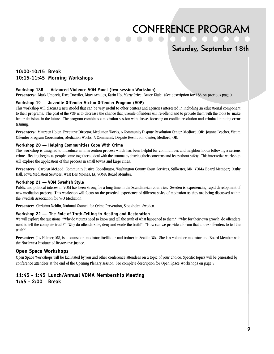### **Saturday, September 18th**

#### **10:00-10:15 Break 10:15-11:45 Morning Workshops**

#### **Workshop 18B — Advanced Violence VOM Panel (two-session Workshop)**

**Presenters:** Mark Umbreit, Dave Doerfler, Mary Achilles, Karin Ho, Marty Price, Bruce Kittle. (See description for 18A on previous page.)

#### **Workshop 19 — Juvenile Offender Victim Offender Program (VOP)**

This workshop will discuss a new model that can be very useful to other centers and agencies interested in including an educational component to their programs. The goal of the VOP is to decrease the chance that juvenile offenders will re-offend and to provide them with the tools to make better decisions in the future. The program combines a mediation session with classes focusing on conflict resolution and criminal thinking error training.

**Presenters:** Maureen Holen, Executive Director, Mediation Works, A Community Dispute Resolution Center, Medford, OR; Joanne Lescher, Victim Offender Program Coordinator, Mediation Works, A Community Dispute Resolution Center, Medford, OR.

#### **Workshop 20 — Helping Communities Cope With Crime**

This workshop is designed to introduce an intervention process which has been helpful for communities and neighborhoods following a serious crime. Healing begins as people come together to deal with the trauma by sharing their concerns and fears about safety. This interactive workshop will explore the application of this process in small towns and large cities.

**Presenters:** Carolyn McLeod, Community Justice Coordinator, Washington County Court Services, Stillwater, MN, VOMA Board Member; Kathy Hall, Iowa Mediation Services, West Des Moines, IA, VOMA Board Member.

#### **Workshop 21 — VOM Swedish Style**

Public and political interest in VOM has been strong for a long time in the Scandinavian countries. Sweden is experiencing rapid development of new mediation projects. This workshop will focus on the practical experience of different styles of mediation as they are being discussed within the Swedish Association for V/O Mediation.

**Presenter:** Christina Nehlin, National Council for Crime Prevention, Stockholm, Sweden.

#### **Workshop 22 — The Role of Truth-Telling in Healing and Restoration**

We will explore the questions: "Why do victims need to know and tell the truth of what happened to them?" "Why, for their own growth, do offenders need to tell the complete truth?" "Why do offenders lie, deny and evade the truth?" "How can we provide a forum that allows offenders to tell the truth?"

Presenter: Joy Helmer, MS, is a counselor, mediator, facilitator and trainer in Seattle, WA. She is a volunteer mediator and Board Member with the Northwest Institute of Restorative Justice.

#### **Open Space Workshops**

Open Space Workshops will be facilitated by you and other conference attendees on a topic of your choice. Specific topics will be generated by conference attendees at the end of the Opening Plenary session. See complete description for Open Space Workshops on page 5.

### **11:45 - 1:45 Lunch/Annual VOMA Membership Meeting**

#### **1:45 - 2:00 Break**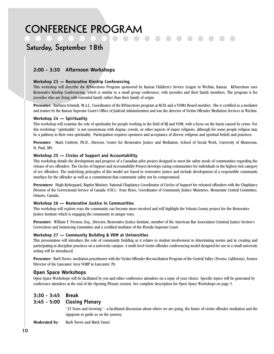### **Saturday, September 18th**

#### **2:00 - 3:30 Afternoon Workshops**

#### **Workshop 23 — Restorative Kinship Conferencing**

This workshop will describe the KINnections Program sponsored by Kansas Children's Service League in Wichita, Kansas. KINnections uses Restorative Kinship Conferencing, which is similar to a small group conference, with juveniles and their family members. The program is for juveniles who are living with extended family rather than their family of origin.

**Presenter:** Barbara Schmidt, M.A.J., Coordinator of the KINnections program at KCSL and a VOMA Board member. She is certified as a mediator and trainer by the Kansas Supreme Court's Office of Judicial Administration and was the director of Victim Offender Mediation Services in Wichita.

#### **Workshop 24 — Spirituality**

This workshop will examine the role of spirituality for people working in the field of RJ and VOM, with a focus on the harm caused by crime. For this workshop "spirituality" is not synonymous with dogma, creeds, or other aspects of major religions, although for some people religion may be a pathway to their own spirituality. Participation requires openness and acceptance of diverse religious and spiritual beliefs and practices.

**Presenter:** Mark Umbreit, Ph.D., Director, Center for Restorative Justice and Mediation, School of Social Work, University of Minnesota, St. Paul, MN.

#### **Workshop 25 — Circles of Support and Accountability**

This workshop details the development and progress of a Canadian pilot project designed to meet the safety needs of communities regarding the release of sex offenders. The Circles of Support and Accountability Project develops caring communities for individuals in the highest risk category of sex offenders. The underlying principles of this model are based in restorative justice and include development of a responsible community interface for the offender as well as a commitment that community safety not be compromised.

**Presenters:** Hugh Kirkegaard, Baptist Minister, National Chaplaincy Coordinator of Circles of Support for released offenders with the Chaplaincy Division of the Correctional Service of Canada (CSC); Evan Heise, Coordinator of Community Justice Ministries, Mennonite Central Committee, Ontario, Canada.

#### **Workshop 26 — Restorative Justice in Communities**

This workshop will explore ways the community can become more involved and will highlight the Volusia County project for the Restorative Justice Institute which is engaging the community in unique ways.

**Presenter:** William T. Preston, Esq., Director, Restorative Justice Institute, member of the American Bar Association Criminal Justice Section's Corrections and Sentencing Committee and a certified mediator of the Florida Supreme Court.

#### **Workshop 27 — Community Building & VOM at Universities**

This presentation will introduce the role of community building as it relates to student involvement in determining norms and in creating and participating in discipline practices on a university campus. A multi-level victim offender conferencing model designed for use in a small university setting will be introduced.

**Presenter:** Barb Toews, mediation practitioner with the Victim Offender Reconciliation Program of the Central Valley (Fresno, California), former Director of the Lancaster Area VORP in Lancaster, PA.

#### **Open Space Workshops**

Open Space Workshops will be facilitated by you and other conference attendees on a topic of your choice. Specific topics will be generated by conference attendees at the end of the Opening Plenary session. See complete description for Open Space Workshops on page 5.

#### **3:30 - 3:45 Break**

#### **3:45 - 5:00 Closing Plenary**

"25 Years and Growing" - a facilitated discussion about where we are going, the future of victim offender mediation and the signposts to guide us on the journey.

**Moderated by:** Barb Toews and Mark Yantzi